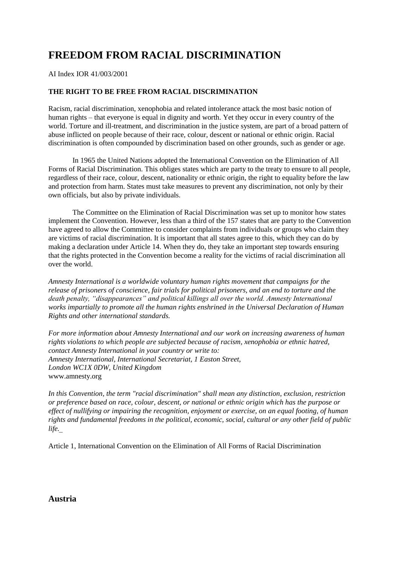# **FREEDOM FROM RACIAL DISCRIMINATION**

AI Index IOR 41/003/2001

# **THE RIGHT TO BE FREE FROM RACIAL DISCRIMINATION**

Racism, racial discrimination, xenophobia and related intolerance attack the most basic notion of human rights – that everyone is equal in dignity and worth. Yet they occur in every country of the world. Torture and ill-treatment, and discrimination in the justice system, are part of a broad pattern of abuse inflicted on people because of their race, colour, descent or national or ethnic origin. Racial discrimination is often compounded by discrimination based on other grounds, such as gender or age.

In 1965 the United Nations adopted the International Convention on the Elimination of All Forms of Racial Discrimination. This obliges states which are party to the treaty to ensure to all people, regardless of their race, colour, descent, nationality or ethnic origin, the right to equality before the law and protection from harm. States must take measures to prevent any discrimination, not only by their own officials, but also by private individuals.

The Committee on the Elimination of Racial Discrimination was set up to monitor how states implement the Convention. However, less than a third of the 157 states that are party to the Convention have agreed to allow the Committee to consider complaints from individuals or groups who claim they are victims of racial discrimination. It is important that all states agree to this, which they can do by making a declaration under Article 14. When they do, they take an important step towards ensuring that the rights protected in the Convention become a reality for the victims of racial discrimination all over the world.

*Amnesty International is a worldwide voluntary human rights movement that campaigns for the release of prisoners of conscience, fair trials for political prisoners, and an end to torture and the death penalty, "disappearances" and political killings all over the world. Amnesty International works impartially to promote all the human rights enshrined in the Universal Declaration of Human Rights and other international standards.*

*For more information about Amnesty International and our work on increasing awareness of human rights violations to which people are subjected because of racism, xenophobia or ethnic hatred, contact Amnesty International in your country or write to: Amnesty International, International Secretariat, 1 Easton Street, London WC1X 0DW, United Kingdom*  www.amnesty.org

*In this Convention, the term "racial discrimination" shall mean any distinction, exclusion, restriction or preference based on race, colour, descent, or national or ethnic origin which has the purpose or effect of nullifying or impairing the recognition, enjoyment or exercise, on an equal footing, of human rights and fundamental freedoms in the political, economic, social, cultural or any other field of public life.*

Article 1, International Convention on the Elimination of All Forms of Racial Discrimination

**Austria**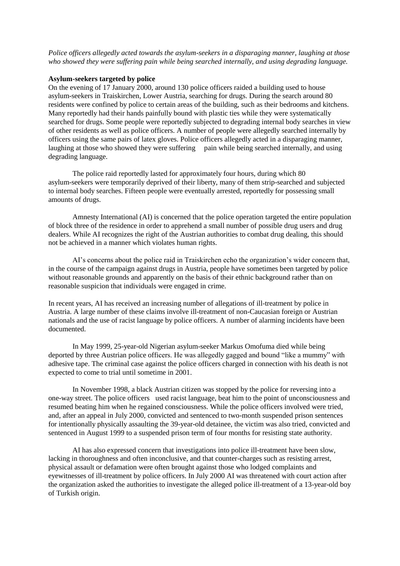*Police officers allegedly acted towards the asylum-seekers in a disparaging manner, laughing at those who showed they were suffering pain while being searched internally, and using degrading language.*

#### **Asylum-seekers targeted by police**

On the evening of 17 January 2000, around 130 police officers raided a building used to house asylum-seekers in Traiskirchen, Lower Austria, searching for drugs. During the search around 80 residents were confined by police to certain areas of the building, such as their bedrooms and kitchens. Many reportedly had their hands painfully bound with plastic ties while they were systematically searched for drugs. Some people were reportedly subjected to degrading internal body searches in view of other residents as well as police officers. A number of people were allegedly searched internally by officers using the same pairs of latex gloves. Police officers allegedly acted in a disparaging manner, laughing at those who showed they were suffering pain while being searched internally, and using degrading language.

The police raid reportedly lasted for approximately four hours, during which 80 asylum-seekers were temporarily deprived of their liberty, many of them strip-searched and subjected to internal body searches. Fifteen people were eventually arrested, reportedly for possessing small amounts of drugs.

Amnesty International (AI) is concerned that the police operation targeted the entire population of block three of the residence in order to apprehend a small number of possible drug users and drug dealers. While AI recognizes the right of the Austrian authorities to combat drug dealing, this should not be achieved in a manner which violates human rights.

AI's concerns about the police raid in Traiskirchen echo the organization's wider concern that, in the course of the campaign against drugs in Austria, people have sometimes been targeted by police without reasonable grounds and apparently on the basis of their ethnic background rather than on reasonable suspicion that individuals were engaged in crime.

In recent years, AI has received an increasing number of allegations of ill-treatment by police in Austria. A large number of these claims involve ill-treatment of non-Caucasian foreign or Austrian nationals and the use of racist language by police officers. A number of alarming incidents have been documented.

In May 1999, 25-year-old Nigerian asylum-seeker Markus Omofuma died while being deported by three Austrian police officers. He was allegedly gagged and bound "like a mummy" with adhesive tape. The criminal case against the police officers charged in connection with his death is not expected to come to trial until sometime in 2001.

In November 1998, a black Austrian citizen was stopped by the police for reversing into a one-way street. The police officers used racist language, beat him to the point of unconsciousness and resumed beating him when he regained consciousness. While the police officers involved were tried, and, after an appeal in July 2000, convicted and sentenced to two-month suspended prison sentences for intentionally physically assaulting the 39-year-old detainee, the victim was also tried, convicted and sentenced in August 1999 to a suspended prison term of four months for resisting state authority.

AI has also expressed concern that investigations into police ill-treatment have been slow, lacking in thoroughness and often inconclusive, and that counter-charges such as resisting arrest, physical assault or defamation were often brought against those who lodged complaints and eyewitnesses of ill-treatment by police officers. In July 2000 AI was threatened with court action after the organization asked the authorities to investigate the alleged police ill-treatment of a 13-year-old boy of Turkish origin.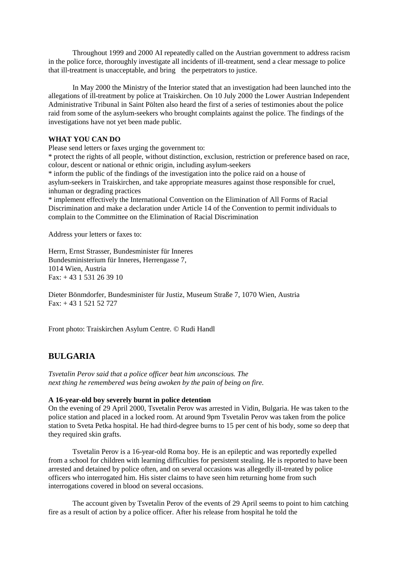Throughout 1999 and 2000 AI repeatedly called on the Austrian government to address racism in the police force, thoroughly investigate all incidents of ill-treatment, send a clear message to police that ill-treatment is unacceptable, and bring the perpetrators to justice.

In May 2000 the Ministry of the Interior stated that an investigation had been launched into the allegations of ill-treatment by police at Traiskirchen. On 10 July 2000 the Lower Austrian Independent Administrative Tribunal in Saint Pölten also heard the first of a series of testimonies about the police raid from some of the asylum-seekers who brought complaints against the police. The findings of the investigations have not yet been made public.

## **WHAT YOU CAN DO**

Please send letters or faxes urging the government to:

\* protect the rights of all people, without distinction, exclusion, restriction or preference based on race, colour, descent or national or ethnic origin, including asylum-seekers

\* inform the public of the findings of the investigation into the police raid on a house of asylum-seekers in Traiskirchen, and take appropriate measures against those responsible for cruel, inhuman or degrading practices

\* implement effectively the International Convention on the Elimination of All Forms of Racial Discrimination and make a declaration under Article 14 of the Convention to permit individuals to complain to the Committee on the Elimination of Racial Discrimination

Address your letters or faxes to:

Herrn, Ernst Strasser, Bundesminister für Inneres Bundesministerium für Inneres, Herrengasse 7, 1014 Wien, Austria Fax: + 43 1 531 26 39 10

Dieter Bönmdorfer, Bundesminister für Justiz, Museum Straße 7, 1070 Wien, Austria Fax: + 43 1 521 52 727

Front photo: Traiskirchen Asylum Centre. © Rudi Handl

# **BULGARIA**

*Tsvetalin Perov said that a police officer beat him unconscious. The next thing he remembered was being awoken by the pain of being on fire.*

#### **A 16-year-old boy severely burnt in police detention**

On the evening of 29 April 2000, Tsvetalin Perov was arrested in Vidin, Bulgaria. He was taken to the police station and placed in a locked room. At around 9pm Tsvetalin Perov was taken from the police station to Sveta Petka hospital. He had third-degree burns to 15 per cent of his body, some so deep that they required skin grafts.

Tsvetalin Perov is a 16-year-old Roma boy. He is an epileptic and was reportedly expelled from a school for children with learning difficulties for persistent stealing. He is reported to have been arrested and detained by police often, and on several occasions was allegedly ill-treated by police officers who interrogated him. His sister claims to have seen him returning home from such interrogations covered in blood on several occasions.

The account given by Tsvetalin Perov of the events of 29 April seems to point to him catching fire as a result of action by a police officer. After his release from hospital he told the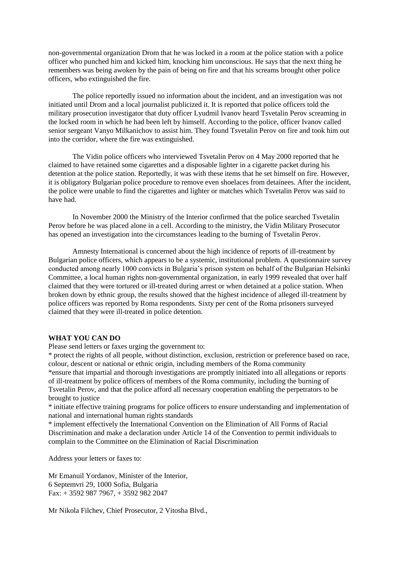non-governmental organization Drom that he was locked in a room at the police station with a police officer who punched him and kicked him, knocking him unconscious. He says that the next thing he remembers was being awoken by the pain of being on fire and that his screams brought other police officers, who extinguished the fire.

The police reportedly issued no information about the incident, and an investigation was not initiated until Drom and a local journalist publicized it. It is reported that police officers told the military prosecution investigator that duty officer Lyudmil Ivanov heard Tsvetalin Perov screaming in the locked room in which he had been left by himself. According to the police, officer Ivanov called senior sergeant Vanyo Milkanichov to assist him. They found Tsvetalin Perov on fire and took him out into the corridor, where the fire was extinguished.

The Vidin police officers who interviewed Tsvetalin Perov on 4 May 2000 reported that he claimed to have retained some cigarettes and a disposable lighter in a cigarette packet during his detention at the police station. Reportedly, it was with these items that he set himself on fire. However, it is obligatory Bulgarian police procedure to remove even shoelaces from detainees. After the incident, the police were unable to find the cigarettes and lighter or matches which Tsvetalin Perov was said to have had.

In November 2000 the Ministry of the Interior confirmed that the police searched Tsvetalin Perov before he was placed alone in a cell. According to the ministry, the Vidin Military Prosecutor has opened an investigation into the circumstances leading to the burning of Tsvetalin Perov.

Amnesty International is concerned about the high incidence of reports of ill-treatment by Bulgarian police officers, which appears to be a systemic, institutional problem. A questionnaire survey conducted among nearly 1000 convicts in Bulgaria's prison system on behalf of the Bulgarian Helsinki Committee, a local human rights non-governmental organization, in early 1999 revealed that over half claimed that they were tortured or ill-treated during arrest or when detained at a police station. When broken down by ethnic group, the results showed that the highest incidence of alleged ill-treatment by police officers was reported by Roma respondents. Sixty per cent of the Roma prisoners surveyed claimed that they were ill-treated in police detention.

#### **WHAT YOU CAN DO**

Please send letters or faxes urging the government to:

\* protect the rights of all people, without distinction, exclusion, restriction or preference based on race, colour, descent or national or ethnic origin, including members of the Roma community \*ensure that impartial and thorough investigations are promptly initiated into all allegations or reports of ill-treatment by police officers of members of the Roma community, including the burning of Tsvetalin Perov, and that the police afford all necessary cooperation enabling the perpetrators to be brought to justice

\* initiate effective training programs for police officers to ensure understanding and implementation of national and international human rights standards

\* implement effectively the International Convention on the Elimination of All Forms of Racial Discrimination and make a declaration under Article 14 of the Convention to permit individuals to complain to the Committee on the Elimination of Racial Discrimination

Address your letters or faxes to:

Mr Emanuil Yordanov, Minister of the Interior, 6 Septemvri 29, 1000 Sofia, Bulgaria Fax: + 3592 987 7967, + 3592 982 2047

Mr Nikola Filchev, Chief Prosecutor, 2 Vitosha Blvd.,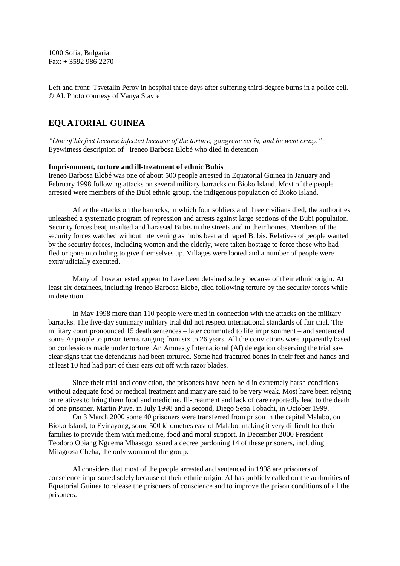1000 Sofia, Bulgaria Fax: + 3592 986 2270

Left and front: Tsvetalin Perov in hospital three days after suffering third-degree burns in a police cell. © AI. Photo courtesy of Vanya Stavre

# **EQUATORIAL GUINEA**

*"One of his feet became infected because of the torture, gangrene set in, and he went crazy."* Eyewitness description of Ireneo Barbosa Elobé who died in detention

#### **Imprisonment, torture and ill-treatment of ethnic Bubis**

Ireneo Barbosa Elobé was one of about 500 people arrested in Equatorial Guinea in January and February 1998 following attacks on several military barracks on Bioko Island. Most of the people arrested were members of the Bubi ethnic group, the indigenous population of Bioko Island.

After the attacks on the barracks, in which four soldiers and three civilians died, the authorities unleashed a systematic program of repression and arrests against large sections of the Bubi population. Security forces beat, insulted and harassed Bubis in the streets and in their homes. Members of the security forces watched without intervening as mobs beat and raped Bubis. Relatives of people wanted by the security forces, including women and the elderly, were taken hostage to force those who had fled or gone into hiding to give themselves up. Villages were looted and a number of people were extrajudicially executed.

Many of those arrested appear to have been detained solely because of their ethnic origin. At least six detainees, including Ireneo Barbosa Elobé, died following torture by the security forces while in detention.

In May 1998 more than 110 people were tried in connection with the attacks on the military barracks. The five-day summary military trial did not respect international standards of fair trial. The military court pronounced 15 death sentences – later commuted to life imprisonment – and sentenced some 70 people to prison terms ranging from six to 26 years. All the convictions were apparently based on confessions made under torture. An Amnesty International (AI) delegation observing the trial saw clear signs that the defendants had been tortured. Some had fractured bones in their feet and hands and at least 10 had had part of their ears cut off with razor blades.

Since their trial and conviction, the prisoners have been held in extremely harsh conditions without adequate food or medical treatment and many are said to be very weak. Most have been relying on relatives to bring them food and medicine. Ill-treatment and lack of care reportedly lead to the death of one prisoner, Martin Puye, in July 1998 and a second, Diego Sepa Tobachi, in October 1999.

On 3 March 2000 some 40 prisoners were transferred from prison in the capital Malabo, on Bioko Island, to Evinayong, some 500 kilometres east of Malabo, making it very difficult for their families to provide them with medicine, food and moral support. In December 2000 President Teodoro Obiang Nguema Mbasogo issued a decree pardoning 14 of these prisoners, including Milagrosa Cheba, the only woman of the group.

AI considers that most of the people arrested and sentenced in 1998 are prisoners of conscience imprisoned solely because of their ethnic origin. AI has publicly called on the authorities of Equatorial Guinea to release the prisoners of conscience and to improve the prison conditions of all the prisoners.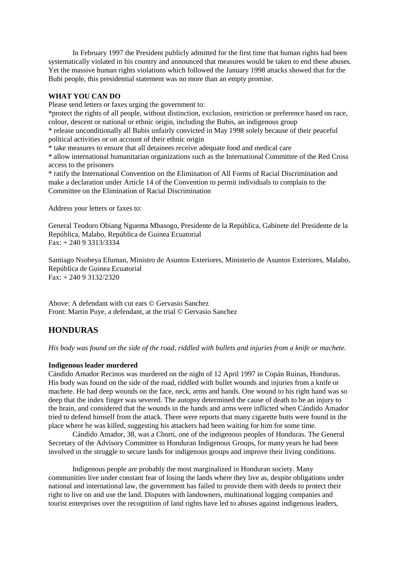In February 1997 the President publicly admitted for the first time that human rights had been systematically violated in his country and announced that measures would be taken to end these abuses. Yet the massive human rights violations which followed the January 1998 attacks showed that for the Bubi people, this presidential statement was no more than an empty promise.

### **WHAT YOU CAN DO**

Please send letters or faxes urging the government to:

\*protect the rights of all people, without distinction, exclusion, restriction or preference based on race, colour, descent or national or ethnic origin, including the Bubis, an indigenous group

\* release unconditionally all Bubis unfairly convicted in May 1998 solely because of their peaceful political activities or on account of their ethnic origin

\* take measures to ensure that all detainees receive adequate food and medical care

\* allow international humanitarian organizations such as the International Committee of the Red Cross access to the prisoners

\* ratify the International Convention on the Elimination of All Forms of Racial Discrimination and make a declaration under Article 14 of the Convention to permit individuals to complain to the Committee on the Elimination of Racial Discrimination

Address your letters or faxes to:

General Teodoro Obiang Nguema Mbasogo, Presidente de la República, Gabinete del Presidente de la República, Malabo, República de Guinea Ecuatorial Fax: + 240 9 3313/3334

Santiago Nsobeya Efuman, Ministro de Asuntos Exteriores, Ministerio de Asuntos Exteriores, Malabo, República de Guinea Ecuatorial Fax: + 240 9 3132/2320

Above: A defendant with cut ears © Gervasio Sanchez Front: Martin Puye, a defendant, at the trial © Gervasio Sanchez

# **HONDURAS**

*His body was found on the side of the road, riddled with bullets and injuries from a knife or machete.*

#### **Indigenous leader murdered**

Cándido Amador Recinos was murdered on the night of 12 April 1997 in Copán Ruinas, Honduras. His body was found on the side of the road, riddled with bullet wounds and injuries from a knife or machete. He had deep wounds on the face, neck, arms and hands. One wound to his right hand was so deep that the index finger was severed. The autopsy determined the cause of death to be an injury to the brain, and considered that the wounds in the hands and arms were inflicted when Cándido Amador tried to defend himself from the attack. There were reports that many cigarette butts were found in the place where he was killed, suggesting his attackers had been waiting for him for some time.

Cándido Amador, 38, was a Chorti, one of the indigenous peoples of Honduras. The General Secretary of the Advisory Committee to Honduran Indigenous Groups, for many years he had been involved in the struggle to secure lands for indigenous groups and improve their living conditions.

Indigenous people are probably the most marginalized in Honduran society. Many communities live under constant fear of losing the lands where they live as, despite obligations under national and international law, the government has failed to provide them with deeds to protect their right to live on and use the land. Disputes with landowners, multinational logging companies and tourist enterprises over the recognition of land rights have led to abuses against indigenous leaders,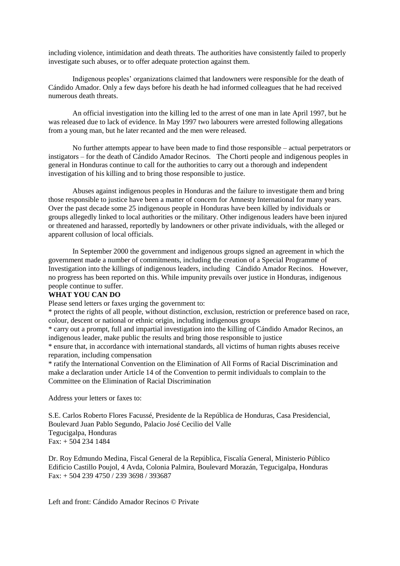including violence, intimidation and death threats. The authorities have consistently failed to properly investigate such abuses, or to offer adequate protection against them.

Indigenous peoples' organizations claimed that landowners were responsible for the death of Cándido Amador. Only a few days before his death he had informed colleagues that he had received numerous death threats.

An official investigation into the killing led to the arrest of one man in late April 1997, but he was released due to lack of evidence. In May 1997 two labourers were arrested following allegations from a young man, but he later recanted and the men were released.

No further attempts appear to have been made to find those responsible – actual perpetrators or instigators – for the death of Cándido Amador Recinos. The Chorti people and indigenous peoples in general in Honduras continue to call for the authorities to carry out a thorough and independent investigation of his killing and to bring those responsible to justice.

Abuses against indigenous peoples in Honduras and the failure to investigate them and bring those responsible to justice have been a matter of concern for Amnesty International for many years. Over the past decade some 25 indigenous people in Honduras have been killed by individuals or groups allegedly linked to local authorities or the military. Other indigenous leaders have been injured or threatened and harassed, reportedly by landowners or other private individuals, with the alleged or apparent collusion of local officials.

In September 2000 the government and indigenous groups signed an agreement in which the government made a number of commitments, including the creation of a Special Programme of Investigation into the killings of indigenous leaders, including Cándido Amador Recinos. However, no progress has been reported on this. While impunity prevails over justice in Honduras, indigenous people continue to suffer.

## **WHAT YOU CAN DO**

Please send letters or faxes urging the government to:

\* protect the rights of all people, without distinction, exclusion, restriction or preference based on race, colour, descent or national or ethnic origin, including indigenous groups

\* carry out a prompt, full and impartial investigation into the killing of Cándido Amador Recinos, an indigenous leader, make public the results and bring those responsible to justice

\* ensure that, in accordance with international standards, all victims of human rights abuses receive reparation, including compensation

\* ratify the International Convention on the Elimination of All Forms of Racial Discrimination and make a declaration under Article 14 of the Convention to permit individuals to complain to the Committee on the Elimination of Racial Discrimination

Address your letters or faxes to:

S.E. Carlos Roberto Flores Facussé, Presidente de la República de Honduras, Casa Presidencial, Boulevard Juan Pablo Segundo, Palacio José Cecilio del Valle Tegucigalpa, Honduras Fax: + 504 234 1484

Dr. Roy Edmundo Medina, Fiscal General de la República, Fiscalía General, Ministerio Público Edificio Castillo Poujol, 4 Avda, Colonia Palmira, Boulevard Morazán, Tegucigalpa, Honduras Fax: + 504 239 4750 / 239 3698 / 393687

Left and front: Cándido Amador Recinos © Private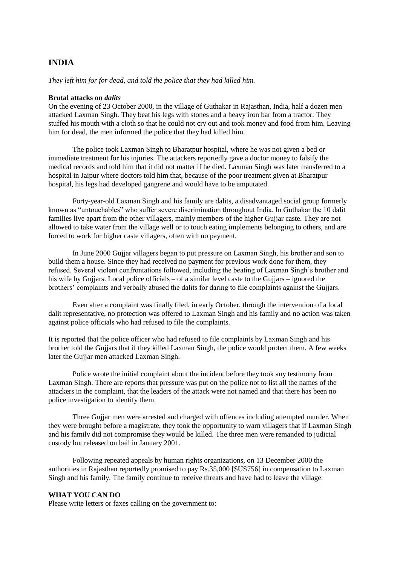# **INDIA**

*They left him for for dead, and told the police that they had killed him.* 

#### **Brutal attacks on** *dalits*

On the evening of 23 October 2000, in the village of Guthakar in Rajasthan, India, half a dozen men attacked Laxman Singh. They beat his legs with stones and a heavy iron bar from a tractor. They stuffed his mouth with a cloth so that he could not cry out and took money and food from him. Leaving him for dead, the men informed the police that they had killed him.

The police took Laxman Singh to Bharatpur hospital, where he was not given a bed or immediate treatment for his injuries. The attackers reportedly gave a doctor money to falsify the medical records and told him that it did not matter if he died. Laxman Singh was later transferred to a hospital in Jaipur where doctors told him that, because of the poor treatment given at Bharatpur hospital, his legs had developed gangrene and would have to be amputated.

Forty-year-old Laxman Singh and his family are dalits, a disadvantaged social group formerly known as "untouchables" who suffer severe discrimination throughout India. In Guthakar the 10 dalit families live apart from the other villagers, mainly members of the higher Gujjar caste. They are not allowed to take water from the village well or to touch eating implements belonging to others, and are forced to work for higher caste villagers, often with no payment.

In June 2000 Gujjar villagers began to put pressure on Laxman Singh, his brother and son to build them a house. Since they had received no payment for previous work done for them, they refused. Several violent confrontations followed, including the beating of Laxman Singh's brother and his wife by Guijars. Local police officials – of a similar level caste to the Guijars – ignored the brothers' complaints and verbally abused the dalits for daring to file complaints against the Gujjars.

Even after a complaint was finally filed, in early October, through the intervention of a local dalit representative, no protection was offered to Laxman Singh and his family and no action was taken against police officials who had refused to file the complaints.

It is reported that the police officer who had refused to file complaints by Laxman Singh and his brother told the Gujjars that if they killed Laxman Singh, the police would protect them. A few weeks later the Gujjar men attacked Laxman Singh.

Police wrote the initial complaint about the incident before they took any testimony from Laxman Singh. There are reports that pressure was put on the police not to list all the names of the attackers in the complaint, that the leaders of the attack were not named and that there has been no police investigation to identify them.

Three Gujjar men were arrested and charged with offences including attempted murder. When they were brought before a magistrate, they took the opportunity to warn villagers that if Laxman Singh and his family did not compromise they would be killed. The three men were remanded to judicial custody but released on bail in January 2001.

Following repeated appeals by human rights organizations, on 13 December 2000 the authorities in Rajasthan reportedly promised to pay Rs.35,000 [\$US756] in compensation to Laxman Singh and his family. The family continue to receive threats and have had to leave the village.

## **WHAT YOU CAN DO**

Please write letters or faxes calling on the government to: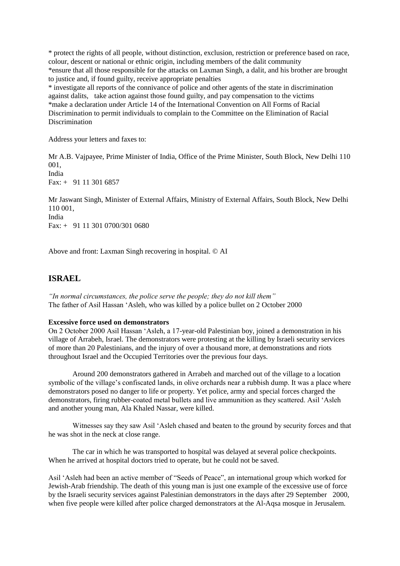\* protect the rights of all people, without distinction, exclusion, restriction or preference based on race, colour, descent or national or ethnic origin, including members of the dalit community \*ensure that all those responsible for the attacks on Laxman Singh, a dalit, and his brother are brought to justice and, if found guilty, receive appropriate penalties

\* investigate all reports of the connivance of police and other agents of the state in discrimination against dalits, take action against those found guilty, and pay compensation to the victims \*make a declaration under Article 14 of the International Convention on All Forms of Racial Discrimination to permit individuals to complain to the Committee on the Elimination of Racial Discrimination

Address your letters and faxes to:

Mr A.B. Vajpayee, Prime Minister of India, Office of the Prime Minister, South Block, New Delhi 110 001, India Fax: + 91 11 301 6857

Mr Jaswant Singh, Minister of External Affairs, Ministry of External Affairs, South Block, New Delhi 110 001, India

Fax: + 91 11 301 0700/301 0680

Above and front: Laxman Singh recovering in hospital. © AI

# **ISRAEL**

*"In normal circumstances, the police serve the people; they do not kill them"* The father of Asil Hassan 'Asleh, who was killed by a police bullet on 2 October 2000

## **Excessive force used on demonstrators**

On 2 October 2000 Asil Hassan 'Asleh, a 17-year-old Palestinian boy, joined a demonstration in his village of Arrabeh, Israel. The demonstrators were protesting at the killing by Israeli security services of more than 20 Palestinians, and the injury of over a thousand more, at demonstrations and riots throughout Israel and the Occupied Territories over the previous four days.

Around 200 demonstrators gathered in Arrabeh and marched out of the village to a location symbolic of the village's confiscated lands, in olive orchards near a rubbish dump. It was a place where demonstrators posed no danger to life or property. Yet police, army and special forces charged the demonstrators, firing rubber-coated metal bullets and live ammunition as they scattered. Asil 'Asleh and another young man, Ala Khaled Nassar, were killed.

Witnesses say they saw Asil 'Asleh chased and beaten to the ground by security forces and that he was shot in the neck at close range.

The car in which he was transported to hospital was delayed at several police checkpoints. When he arrived at hospital doctors tried to operate, but he could not be saved.

Asil 'Asleh had been an active member of "Seeds of Peace", an international group which worked for Jewish-Arab friendship. The death of this young man is just one example of the excessive use of force by the Israeli security services against Palestinian demonstrators in the days after 29 September 2000, when five people were killed after police charged demonstrators at the Al-Aqsa mosque in Jerusalem.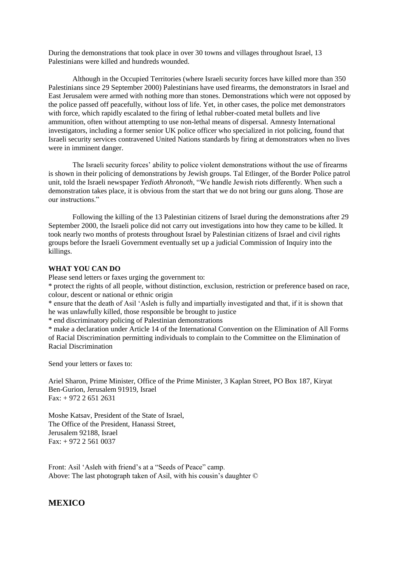During the demonstrations that took place in over 30 towns and villages throughout Israel, 13 Palestinians were killed and hundreds wounded.

Although in the Occupied Territories (where Israeli security forces have killed more than 350 Palestinians since 29 September 2000) Palestinians have used firearms, the demonstrators in Israel and East Jerusalem were armed with nothing more than stones. Demonstrations which were not opposed by the police passed off peacefully, without loss of life. Yet, in other cases, the police met demonstrators with force, which rapidly escalated to the firing of lethal rubber-coated metal bullets and live ammunition, often without attempting to use non-lethal means of dispersal. Amnesty International investigators, including a former senior UK police officer who specialized in riot policing, found that Israeli security services contravened United Nations standards by firing at demonstrators when no lives were in imminent danger.

The Israeli security forces' ability to police violent demonstrations without the use of firearms is shown in their policing of demonstrations by Jewish groups. Tal Etlinger, of the Border Police patrol unit, told the Israeli newspaper *Yedioth Ahronoth*, "We handle Jewish riots differently. When such a demonstration takes place, it is obvious from the start that we do not bring our guns along. Those are our instructions."

Following the killing of the 13 Palestinian citizens of Israel during the demonstrations after 29 September 2000, the Israeli police did not carry out investigations into how they came to be killed. It took nearly two months of protests throughout Israel by Palestinian citizens of Israel and civil rights groups before the Israeli Government eventually set up a judicial Commission of Inquiry into the killings.

## **WHAT YOU CAN DO**

Please send letters or faxes urging the government to:

\* protect the rights of all people, without distinction, exclusion, restriction or preference based on race, colour, descent or national or ethnic origin

\* ensure that the death of Asil 'Asleh is fully and impartially investigated and that, if it is shown that he was unlawfully killed, those responsible be brought to justice

\* end discriminatory policing of Palestinian demonstrations

\* make a declaration under Article 14 of the International Convention on the Elimination of All Forms of Racial Discrimination permitting individuals to complain to the Committee on the Elimination of Racial Discrimination

Send your letters or faxes to:

Ariel Sharon, Prime Minister, Office of the Prime Minister, 3 Kaplan Street, PO Box 187, Kiryat Ben-Gurion, Jerusalem 91919, Israel Fax: + 972 2 651 2631

Moshe Katsav, President of the State of Israel, The Office of the President, Hanassi Street, Jerusalem 92188, Israel Fax: + 972 2 561 0037

Front: Asil 'Asleh with friend's at a "Seeds of Peace" camp. Above: The last photograph taken of Asil, with his cousin's daughter ©

# **MEXICO**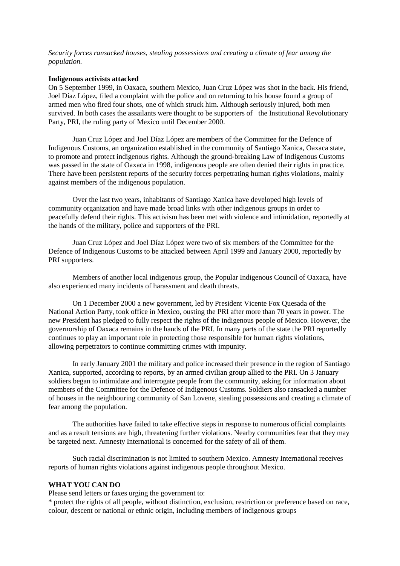*Security forces ransacked houses, stealing possessions and creating a climate of fear among the population.*

#### **Indigenous activists attacked**

On 5 September 1999, in Oaxaca, southern Mexico, Juan Cruz López was shot in the back. His friend, Joel Díaz López, filed a complaint with the police and on returning to his house found a group of armed men who fired four shots, one of which struck him. Although seriously injured, both men survived. In both cases the assailants were thought to be supporters of the Institutional Revolutionary Party, PRI, the ruling party of Mexico until December 2000.

Juan Cruz López and Joel Díaz López are members of the Committee for the Defence of Indigenous Customs, an organization established in the community of Santiago Xanica, Oaxaca state, to promote and protect indigenous rights. Although the ground-breaking Law of Indigenous Customs was passed in the state of Oaxaca in 1998, indigenous people are often denied their rights in practice. There have been persistent reports of the security forces perpetrating human rights violations, mainly against members of the indigenous population.

Over the last two years, inhabitants of Santiago Xanica have developed high levels of community organization and have made broad links with other indigenous groups in order to peacefully defend their rights. This activism has been met with violence and intimidation, reportedly at the hands of the military, police and supporters of the PRI.

Juan Cruz López and Joel Díaz López were two of six members of the Committee for the Defence of Indigenous Customs to be attacked between April 1999 and January 2000, reportedly by PRI supporters.

Members of another local indigenous group, the Popular Indigenous Council of Oaxaca, have also experienced many incidents of harassment and death threats.

On 1 December 2000 a new government, led by President Vicente Fox Quesada of the National Action Party, took office in Mexico, ousting the PRI after more than 70 years in power. The new President has pledged to fully respect the rights of the indigenous people of Mexico. However, the governorship of Oaxaca remains in the hands of the PRI. In many parts of the state the PRI reportedly continues to play an important role in protecting those responsible for human rights violations, allowing perpetrators to continue committing crimes with impunity.

In early January 2001 the military and police increased their presence in the region of Santiago Xanica, supported, according to reports, by an armed civilian group allied to the PRI. On 3 January soldiers began to intimidate and interrogate people from the community, asking for information about members of the Committee for the Defence of Indigenous Customs. Soldiers also ransacked a number of houses in the neighbouring community of San Lovene, stealing possessions and creating a climate of fear among the population.

The authorities have failed to take effective steps in response to numerous official complaints and as a result tensions are high, threatening further violations. Nearby communities fear that they may be targeted next. Amnesty International is concerned for the safety of all of them.

Such racial discrimination is not limited to southern Mexico. Amnesty International receives reports of human rights violations against indigenous people throughout Mexico.

#### **WHAT YOU CAN DO**

Please send letters or faxes urging the government to:

\* protect the rights of all people, without distinction, exclusion, restriction or preference based on race, colour, descent or national or ethnic origin, including members of indigenous groups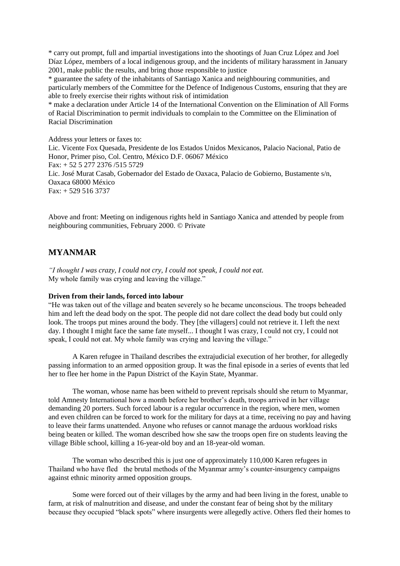\* carry out prompt, full and impartial investigations into the shootings of Juan Cruz López and Joel Díaz López, members of a local indigenous group, and the incidents of military harassment in January 2001, make public the results, and bring those responsible to justice

\* guarantee the safety of the inhabitants of Santiago Xanica and neighbouring communities, and particularly members of the Committee for the Defence of Indigenous Customs, ensuring that they are able to freely exercise their rights without risk of intimidation

\* make a declaration under Article 14 of the International Convention on the Elimination of All Forms of Racial Discrimination to permit individuals to complain to the Committee on the Elimination of Racial Discrimination

Address your letters or faxes to:

Lic. Vicente Fox Quesada, Presidente de los Estados Unidos Mexicanos, Palacio Nacional, Patio de Honor, Primer piso, Col. Centro, México D.F. 06067 México Fax: + 52 5 277 2376 /515 5729 Lic. José Murat Casab, Gobernador del Estado de Oaxaca, Palacio de Gobierno, Bustamente s/n, Oaxaca 68000 México Fax: + 529 516 3737

Above and front: Meeting on indigenous rights held in Santiago Xanica and attended by people from neighbouring communities, February 2000. © Private

# **MYANMAR**

*"I thought I was crazy, I could not cry, I could not speak, I could not eat.*  My whole family was crying and leaving the village."

#### **Driven from their lands, forced into labour**

"He was taken out of the village and beaten severely so he became unconscious. The troops beheaded him and left the dead body on the spot. The people did not dare collect the dead body but could only look. The troops put mines around the body. They [the villagers] could not retrieve it. I left the next day. I thought I might face the same fate myself... I thought I was crazy, I could not cry, I could not speak, I could not eat. My whole family was crying and leaving the village."

A Karen refugee in Thailand describes the extrajudicial execution of her brother, for allegedly passing information to an armed opposition group. It was the final episode in a series of events that led her to flee her home in the Papun District of the Kayin State, Myanmar.

The woman, whose name has been witheld to prevent reprisals should she return to Myanmar, told Amnesty International how a month before her brother's death, troops arrived in her village demanding 20 porters. Such forced labour is a regular occurrence in the region, where men, women and even children can be forced to work for the military for days at a time, receiving no pay and having to leave their farms unattended. Anyone who refuses or cannot manage the arduous workload risks being beaten or killed. The woman described how she saw the troops open fire on students leaving the village Bible school, killing a 16-year-old boy and an 18-year-old woman.

The woman who described this is just one of approximately 110,000 Karen refugees in Thailand who have fled the brutal methods of the Myanmar army's counter-insurgency campaigns against ethnic minority armed opposition groups.

Some were forced out of their villages by the army and had been living in the forest, unable to farm, at risk of malnutrition and disease, and under the constant fear of being shot by the military because they occupied "black spots" where insurgents were allegedly active. Others fled their homes to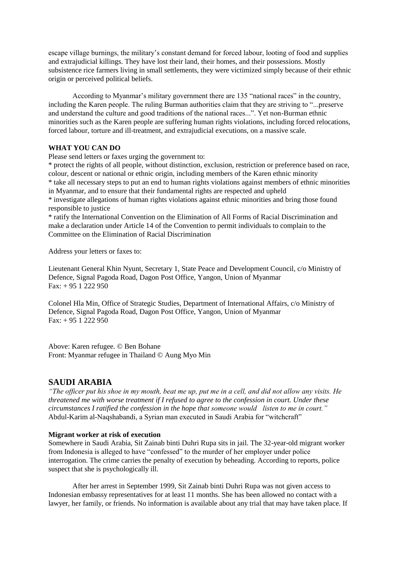escape village burnings, the military's constant demand for forced labour, looting of food and supplies and extrajudicial killings. They have lost their land, their homes, and their possessions. Mostly subsistence rice farmers living in small settlements, they were victimized simply because of their ethnic origin or perceived political beliefs.

According to Myanmar's military government there are 135 "national races" in the country, including the Karen people. The ruling Burman authorities claim that they are striving to "...preserve and understand the culture and good traditions of the national races...". Yet non-Burman ethnic minorities such as the Karen people are suffering human rights violations, including forced relocations, forced labour, torture and ill-treatment, and extrajudicial executions, on a massive scale.

## **WHAT YOU CAN DO**

Please send letters or faxes urging the government to:

\* protect the rights of all people, without distinction, exclusion, restriction or preference based on race, colour, descent or national or ethnic origin, including members of the Karen ethnic minority

\* take all necessary steps to put an end to human rights violations against members of ethnic minorities in Myanmar, and to ensure that their fundamental rights are respected and upheld

\* investigate allegations of human rights violations against ethnic minorities and bring those found responsible to justice

\* ratify the International Convention on the Elimination of All Forms of Racial Discrimination and make a declaration under Article 14 of the Convention to permit individuals to complain to the Committee on the Elimination of Racial Discrimination

Address your letters or faxes to:

Lieutenant General Khin Nyunt, Secretary 1, State Peace and Development Council, c/o Ministry of Defence, Signal Pagoda Road, Dagon Post Office, Yangon, Union of Myanmar  $Fax: + 951222950$ 

Colonel Hla Min, Office of Strategic Studies, Department of International Affairs, c/o Ministry of Defence, Signal Pagoda Road, Dagon Post Office, Yangon, Union of Myanmar Fax:  $+ 951222950$ 

Above: Karen refugee. © Ben Bohane Front: Myanmar refugee in Thailand © Aung Myo Min

# **SAUDI ARABIA**

*"The officer put his shoe in my mouth, beat me up, put me in a cell, and did not allow any visits. He threatened me with worse treatment if I refused to agree to the confession in court. Under these circumstances I ratified the confession in the hope that someone would listen to me in court."* Abdul-Karim al-Naqshabandi, a Syrian man executed in Saudi Arabia for "witchcraft"

## **Migrant worker at risk of execution**

Somewhere in Saudi Arabia, Sit Zainab binti Duhri Rupa sits in jail. The 32-year-old migrant worker from Indonesia is alleged to have "confessed" to the murder of her employer under police interrogation. The crime carries the penalty of execution by beheading. According to reports, police suspect that she is psychologically ill.

After her arrest in September 1999, Sit Zainab binti Duhri Rupa was not given access to Indonesian embassy representatives for at least 11 months. She has been allowed no contact with a lawyer, her family, or friends. No information is available about any trial that may have taken place. If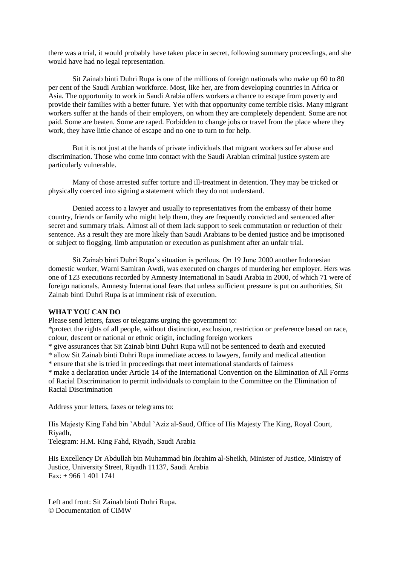there was a trial, it would probably have taken place in secret, following summary proceedings, and she would have had no legal representation.

Sit Zainab binti Duhri Rupa is one of the millions of foreign nationals who make up 60 to 80 per cent of the Saudi Arabian workforce. Most, like her, are from developing countries in Africa or Asia. The opportunity to work in Saudi Arabia offers workers a chance to escape from poverty and provide their families with a better future. Yet with that opportunity come terrible risks. Many migrant workers suffer at the hands of their employers, on whom they are completely dependent. Some are not paid. Some are beaten. Some are raped. Forbidden to change jobs or travel from the place where they work, they have little chance of escape and no one to turn to for help.

But it is not just at the hands of private individuals that migrant workers suffer abuse and discrimination. Those who come into contact with the Saudi Arabian criminal justice system are particularly vulnerable.

Many of those arrested suffer torture and ill-treatment in detention. They may be tricked or physically coerced into signing a statement which they do not understand.

Denied access to a lawyer and usually to representatives from the embassy of their home country, friends or family who might help them, they are frequently convicted and sentenced after secret and summary trials. Almost all of them lack support to seek commutation or reduction of their sentence. As a result they are more likely than Saudi Arabians to be denied justice and be imprisoned or subject to flogging, limb amputation or execution as punishment after an unfair trial.

Sit Zainab binti Duhri Rupa's situation is perilous. On 19 June 2000 another Indonesian domestic worker, Warni Samiran Awdi, was executed on charges of murdering her employer. Hers was one of 123 executions recorded by Amnesty International in Saudi Arabia in 2000, of which 71 were of foreign nationals. Amnesty International fears that unless sufficient pressure is put on authorities, Sit Zainab binti Duhri Rupa is at imminent risk of execution.

## **WHAT YOU CAN DO**

Please send letters, faxes or telegrams urging the government to:

\*protect the rights of all people, without distinction, exclusion, restriction or preference based on race, colour, descent or national or ethnic origin, including foreign workers

\* give assurances that Sit Zainab binti Duhri Rupa will not be sentenced to death and executed

\* allow Sit Zainab binti Duhri Rupa immediate access to lawyers, family and medical attention

\* ensure that she is tried in proceedings that meet international standards of fairness

\* make a declaration under Article 14 of the International Convention on the Elimination of All Forms of Racial Discrimination to permit individuals to complain to the Committee on the Elimination of Racial Discrimination

Address your letters, faxes or telegrams to:

His Majesty King Fahd bin 'Abdul 'Aziz al-Saud, Office of His Majesty The King, Royal Court, Riyadh,

Telegram: H.M. King Fahd, Riyadh, Saudi Arabia

His Excellency Dr Abdullah bin Muhammad bin Ibrahim al-Sheikh, Minister of Justice, Ministry of Justice, University Street, Riyadh 11137, Saudi Arabia  $Fax: + 966$  1 401 1741

Left and front: Sit Zainab binti Duhri Rupa. © Documentation of CIMW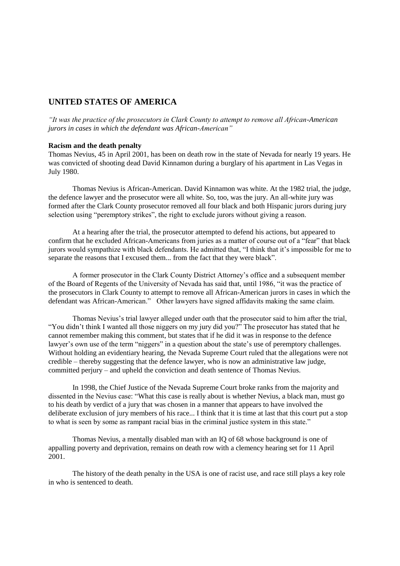# **UNITED STATES OF AMERICA**

*"It was the practice of the prosecutors in Clark County to attempt to remove all African-American jurors in cases in which the defendant was African-American"*

## **Racism and the death penalty**

Thomas Nevius, 45 in April 2001, has been on death row in the state of Nevada for nearly 19 years. He was convicted of shooting dead David Kinnamon during a burglary of his apartment in Las Vegas in July 1980.

Thomas Nevius is African-American. David Kinnamon was white. At the 1982 trial, the judge, the defence lawyer and the prosecutor were all white. So, too, was the jury. An all-white jury was formed after the Clark County prosecutor removed all four black and both Hispanic jurors during jury selection using "peremptory strikes", the right to exclude jurors without giving a reason.

At a hearing after the trial, the prosecutor attempted to defend his actions, but appeared to confirm that he excluded African-Americans from juries as a matter of course out of a "fear" that black jurors would sympathize with black defendants. He admitted that, "I think that it's impossible for me to separate the reasons that I excused them... from the fact that they were black".

A former prosecutor in the Clark County District Attorney's office and a subsequent member of the Board of Regents of the University of Nevada has said that, until 1986, "it was the practice of the prosecutors in Clark County to attempt to remove all African-American jurors in cases in which the defendant was African-American." Other lawyers have signed affidavits making the same claim.

Thomas Nevius's trial lawyer alleged under oath that the prosecutor said to him after the trial, "You didn't think I wanted all those niggers on my jury did you?" The prosecutor has stated that he cannot remember making this comment, but states that if he did it was in response to the defence lawyer's own use of the term "niggers" in a question about the state's use of peremptory challenges. Without holding an evidentiary hearing, the Nevada Supreme Court ruled that the allegations were not credible – thereby suggesting that the defence lawyer, who is now an administrative law judge, committed perjury – and upheld the conviction and death sentence of Thomas Nevius.

In 1998, the Chief Justice of the Nevada Supreme Court broke ranks from the majority and dissented in the Nevius case: "What this case is really about is whether Nevius, a black man, must go to his death by verdict of a jury that was chosen in a manner that appears to have involved the deliberate exclusion of jury members of his race... I think that it is time at last that this court put a stop to what is seen by some as rampant racial bias in the criminal justice system in this state."

Thomas Nevius, a mentally disabled man with an IQ of 68 whose background is one of appalling poverty and deprivation, remains on death row with a clemency hearing set for 11 April 2001.

The history of the death penalty in the USA is one of racist use, and race still plays a key role in who is sentenced to death.